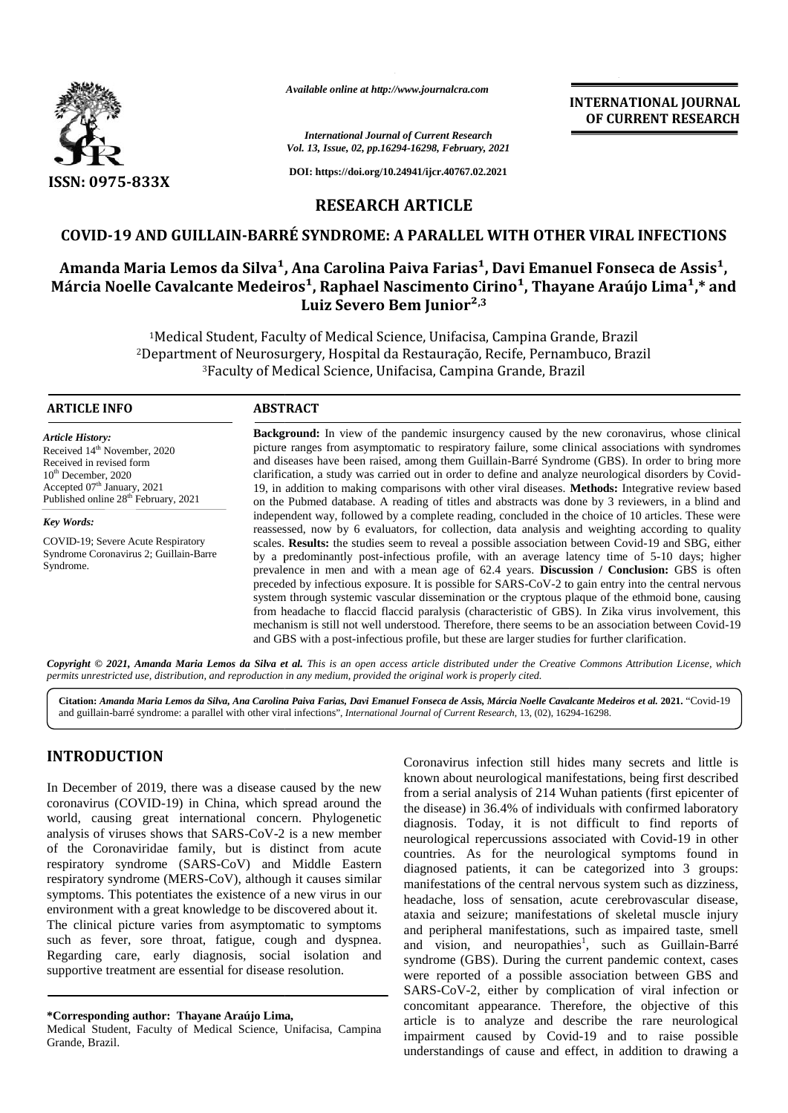

*Available online at http://www.journalcra.com*

#### *International Journal of Current Research Vol. 13, Issue, 02, pp.16294-16298, February, 2021*

**DOI: https://doi.org/10.24941/ijcr.40767.02.2021**

## **INTERNATIONAL JOURNAL OF CURRENT RESEARCH**

**RESEARCH ARTICLE**

## **COVID-19 AND GUILLAIN-BARRÉ SYNDROME: A PARALLEL WITH OTHER VIRAL INFECTIONS**

# Amanda Maria Lemos da Silva<sup>1</sup>, Ana Carolina Paiva Farias<sup>1</sup>, Davi Emanuel Fonseca de Assis<sup>1</sup>, Márcia Noelle Cavalcante Medeiros<sup>1</sup>, Raphael Nascimento Cirino<sup>1</sup>, Thayane Araújo Lima<sup>1</sup>,\* and **Luiz Severo Bem Junior²,3 COVID-19 AND GUILLAIN-BARRÉ SYNDROME: A PARALLE<br>Amanda Maria Lemos da Silva<sup>1</sup>, Ana Carolina Paiva Faria<br>Iárcia Noelle Cavalcante Medeiros<sup>1</sup>, Raphael Nascimento<br>Luiz Severo Bem Junior**

Medical Student, Faculty of Medical Science, Unifacisa, Campina Grande, Brazil Department of Neurosurgery, Hospital da Restauração, Recife, Pernambuco, Brazil Faculty of Medical Science, Unifacisa, Campina Grande, Brazil of Medical Science, Unifacisa, Campina Grand<br>ry, Hospital da Restauração, Recife, Pernamb<br>al Science, Unifacisa, Campina Grande, Brazil

#### **ARTICLE INFO ABSTRACT ARTICLE ABSTRACT**

*Article History:* Received  $14<sup>th</sup>$  November, 2020 Received in revised form 10<sup>th</sup> December, 2020 Accepted 07<sup>th</sup> January, 2021 Published online 28<sup>th</sup> February, 2021

*Key Words:*

COVID-19; Severe Acute Respiratory Syndrome Coronavirus 2; Guillain-Barre Syndrome.

**Background:** In view of the pandemic insurgency caused by the new coronavirus, whose clinical picture ranges from asymptomatic to respiratory failure, some clinical associations with syndromes and diseases have been raised, among them Guillain-Barré Syndrome (GBS). In order to bring more clarification, a study was carried out in order to define and analyze neurological disorders by Covid- 19, in addition to making comparisons with other viral diseases. **Methods:** Integrative review based on the Pubmed database. A reading of titles and abstracts was done by 3 reviewers, in a blind and independent way, followed by a complete reading, concluded in the choice of 10 articles. These were reassessed, now by 6 evaluators, for collection, data analysis and weighting according to quality scales. **Results:** the studies seem to reveal a possible association between Covid-19 and SBG, either by a predominantly post-infectious profile, with an average latency time of 5-10 days; higher prevalence in men and with a mean age of 62.4 years. **Discussion / Conclusion:** GBS is often preceded by infectious exposure. It is possible for SARS-CoV-2 to gain entry into the central nervous system through systemic vascular dissemination or the cryptous plaque of the ethmoid bone, causing<br>from headache to flaccid flaccid paralysis (characteristic of GBS). In Zika virus involvement, this<br>mechanism is still not from headache to flaccid flaccid paralysis (characteristic of GBS). In Zika virus involvement, this mechanism is still not well understood. Therefore, there seems to be an association between Covid-19 and GBS with a post-infectious profile, but these are larger studies for further clarification. **Background:** In view of the pandemic insurgency caused by the new coronavirus, whose clinical picture ranges from asymptomatic to respiratory failure, some clinical associations with syndromes and diseases have been rais FRACE COURSENT ISSES.<br>
SEXERCITE CONSERVATIONS IN The Course of the state of the state of the state of the state of the state of the state of the state of the state of the state of the state of the state of the state of t

**Copyright © 2021, Amanda Maria Lemos da Silva et al.** This is an open access article distributed under the Creative Commons Attribution License, which<br>permits unrestricted use, distribution, and reproduction in any medium *permits unrestricted use,distribution, and reproduction in any medium, provided the original work is properly cited.*

**Citation:** *Amanda Maria Lemos da Silva, Ana Carolina Paiva Farias, Davi Emanuel Fonseca de Assis, Márcia Noelle Cavalcante Medeiros et al.* **2021.** "Covid-19 and guillain-barré syndrome: a parallel with other viral infections", *International Journal of Current Research*, 13, (02), 16294-16298.

## **INTRODUCTION INTRODUCTION**

In December of 2019, there was a disease caused by the new coronavirus (COVID-19) in China, which spread around the world, causing great international concern. Phylogenetic analysis of viruses shows that SARS-CoV-2 is a new member of the Coronaviridae family, but is distinct from acute respiratory syndrome (SARS-CoV) and Middle Eastern respiratory syndrome (MERS-CoV), although it causes similar symptoms. This potentiates the existence of a new virus in our environment with a great knowledge to be discovered about it. The clinical picture varies from asymptomatic to symptoms such as fever, sore throat, fatigue, cough and dyspnea. Regarding care, early diagnosis, social isolation and supportive treatment are essential for disease resolution. In December of 2019, there was a disease caused by the new<br>coronavirus (COVID-19) in China, which spread around the<br>world, causing great international concern. Phylogenetic<br>analysis of viruses shows that SARS-CoV-2 is a ne

Medical Student, Faculty of Medical Science, Unifacisa, Campina Grande, Brazil.

Coronavirus infection still hides many secrets and little is known about neurological manifestations, being first described from a serial analysis of 214 Wuhan patients (first epicenter of from a serial analysis of 214 Wuhan patients (first epicenter of the disease) in 36.4% of individuals with confirmed laboratory diagnosis. Today, it is not difficult to find reports of neurological repercussions associated with Covid-19 in other diagnosis. Today, it is not difficult to find reports of neurological repercussions associated with Covid-19 in other countries. As for the neurological symptoms found in diagnosed patients, it can be categorized into 3 groups: manifestations of the central nervous system such as dizziness, manifestations of the central nervous system such as dizziness, headache, loss of sensation, acute cerebrovascular disease, ataxia and seizure; manifestations of skeletal muscle injury and peripheral manifestations, such as impaired taste, smell and peripheral manifestations, such as impaired taste, smell and vision, and neuropathies<sup>1</sup>, such as Guillain-Barré syndrome (GBS). During the current pandemic context, cases were reported of a possible association between GBS and SARS-CoV-2, either by complication of viral infection or concomitant appearance. Therefore, the objective of this article is to analyze and describe the rare neurological impairment caused by Covid-19 and to raise possible understandings of cause and effect, in addition to drawing a EVINCO CONSTROMENT (COOPREDITED the manufacture intervents infected in the member of 2019, there was a disease caused by the new known about neurological manifestations, being first described<br>
In December of 2019, there wa

**<sup>\*</sup>Corresponding author: Thayane Araújo Lima, \*Corresponding**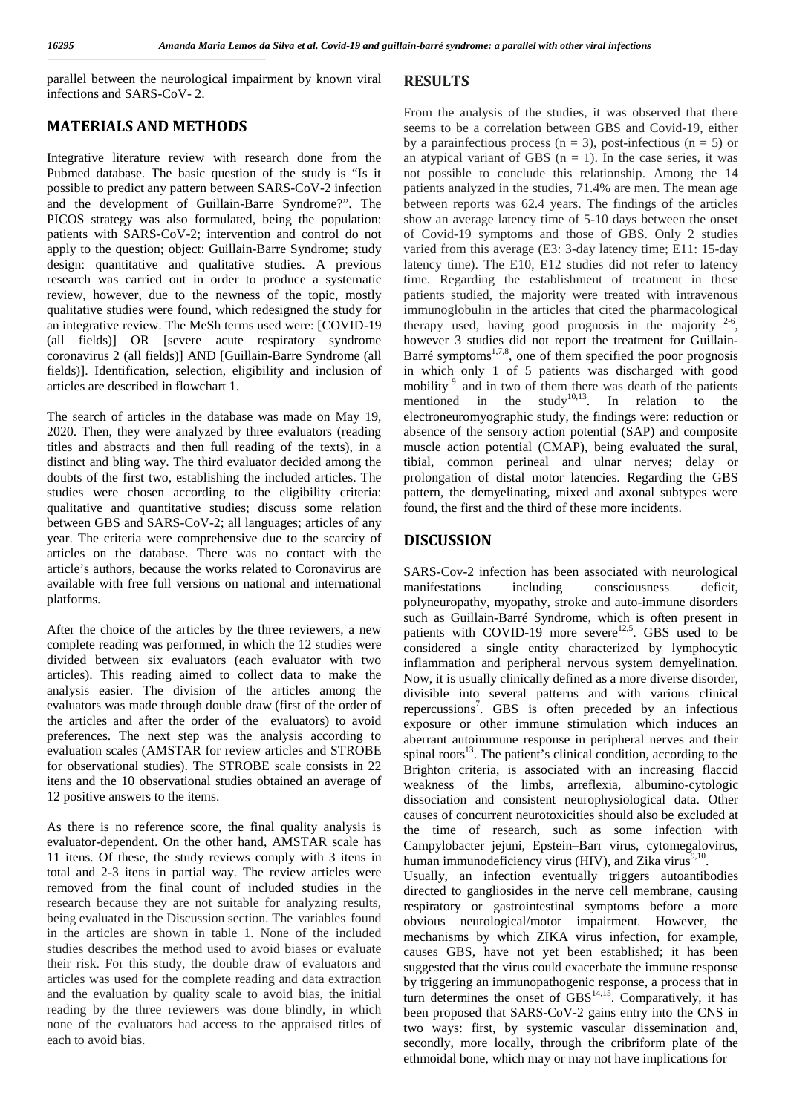parallel between the neurological impairment by known viral infections and SARS-CoV- 2.

### **MATERIALS AND METHODS**

Integrative literature review with research done from the Pubmed database. The basic question of the study is "Is it possible to predict any pattern between SARS-CoV-2 infection and the development of Guillain-Barre Syndrome?". The PICOS strategy was also formulated, being the population: patients with SARS-CoV-2; intervention and control do not apply to the question; object: Guillain-Barre Syndrome; study design: quantitative and qualitative studies. A previous research was carried out in order to produce a systematic review, however, due to the newness of the topic, mostly qualitative studies were found, which redesigned the study for an integrative review. The MeSh terms used were: [COVID-19 (all fields)] OR [severe acute respiratory syndrome coronavirus 2 (all fields)] AND [Guillain-Barre Syndrome (all fields)]. Identification, selection, eligibility and inclusion of articles are described in flowchart 1.

The search of articles in the database was made on May 19, 2020. Then, they were analyzed by three evaluators (reading titles and abstracts and then full reading of the texts), in a distinct and bling way. The third evaluator decided among the doubts of the first two, establishing the included articles. The studies were chosen according to the eligibility criteria: qualitative and quantitative studies; discuss some relation between GBS and SARS-CoV-2; all languages; articles of any year. The criteria were comprehensive due to the scarcity of articles on the database. There was no contact with the article's authors, because the works related to Coronavirus are available with free full versions on national and international platforms.

After the choice of the articles by the three reviewers, a new complete reading was performed, in which the 12 studies were divided between six evaluators (each evaluator with two articles). This reading aimed to collect data to make the analysis easier. The division of the articles among the evaluators was made through double draw (first of the order of the articles and after the order of the evaluators) to avoid preferences. The next step was the analysis according to evaluation scales (AMSTAR for review articles and STROBE for observational studies). The STROBE scale consists in 22 itens and the 10 observational studies obtained an average of 12 positive answers to the items.

As there is no reference score, the final quality analysis is evaluator-dependent. On the other hand, AMSTAR scale has 11 itens. Of these, the study reviews comply with 3 itens in total and 2-3 itens in partial way. The review articles were removed from the final count of included studies in the research because they are not suitable for analyzing results, being evaluated in the Discussion section. The variables found in the articles are shown in table 1. None of the included studies describes the method used to avoid biases or evaluate their risk. For this study, the double draw of evaluators and articles was used for the complete reading and data extraction and the evaluation by quality scale to avoid bias, the initial reading by the three reviewers was done blindly, in which none of the evaluators had access to the appraised titles of each to avoid bias.

### **RESULTS**

From the analysis of the studies, it was observed that there seems to be a correlation between GBS and Covid-19, either by a parainfectious process ( $n = 3$ ), post-infectious ( $n = 5$ ) or an atypical variant of GBS  $(n = 1)$ . In the case series, it was not possible to conclude this relationship. Among the 14 patients analyzed in the studies, 71.4% are men. The mean age between reports was 62.4 years. The findings of the articles show an average latency time of 5-10 days between the onset of Covid-19 symptoms and those of GBS. Only 2 studies varied from this average (E3: 3-day latency time; E11: 15-day latency time). The E10, E12 studies did not refer to latency time. Regarding the establishment of treatment in these patients studied, the majority were treated with intravenous immunoglobulin in the articles that cited the pharmacological therapy used, having good prognosis in the majority  $2-6$ , however 3 studies did not report the treatment for Guillain- Barré symptoms $^{1,7,8}$ , one of them specified the poor prognosis in which only 1 of 5 patients was discharged with good mobility <sup>9</sup> and in two of them there was death of the patients mentioned in the study<sup>10,13</sup>. In relation to the electroneuromyographic study, the findings were: reduction or absence of the sensory action potential (SAP) and composite muscle action potential (CMAP), being evaluated the sural, tibial, common perineal and ulnar nerves; delay or prolongation of distal motor latencies. Regarding the GBS pattern, the demyelinating, mixed and axonal subtypes were found, the first and the third of these more incidents.

## **DISCUSSION**

SARS-Cov-2 infection has been associated with neurological including consciousness deficit, polyneuropathy, myopathy, stroke and auto immune disorders such as Guillain Barré Syndrome, which is often present in patients with COVID 19 more severe<sup>12,5</sup>. GBS used to be considered a single entity characterized by lymphocytic inflammation and peripheral nervous system demyelination. Now, it is usually clinically defined as a more diverse disorder, divisible into several patterns and with various clinical repercussions<sup>7</sup>. GBS is often preceded by an infectious exposure or other immune stimulation which induces an aberrant autoimmune response in peripheral nerves and their spinal roots $13$ . The patient's clinical condition, according to the Brighton criteria, is associated with an increasing flaccid weakness of the limbs, arreflexia, albumino-cytologic dissociation and consistent neurophysiological data. Other causes of concurrent neurotoxicities should also be excluded at the time of research, such as some infection with Campylobacter jejuni, Epstein–Barr virus, cytomegalovirus, human immunodeficiency virus (HIV), and Zika virus<sup>9,10</sup>. Usually, an infection eventually triggers autoantibodies directed to gangliosides in the nerve cell membrane, causing respiratory or gastrointestinal symptoms before a more obvious neurological/motor impairment. However, the mechanisms by which ZIKA virus infection, for example, causes GBS, have not yet been established; it has been suggested that the virus could exacerbate the immune response

by triggering an immunopathogenic response, a process that in turn determines the onset of  $\overline{GBS}^{14,15}$ . Comparatively, it has been proposed that SARS CoV 2 gains entry into the CNS in two ways: first, by systemic vascular dissemination and, secondly, more locally, through the cribriform plate of the ethmoidal bone, which may or may not have implications for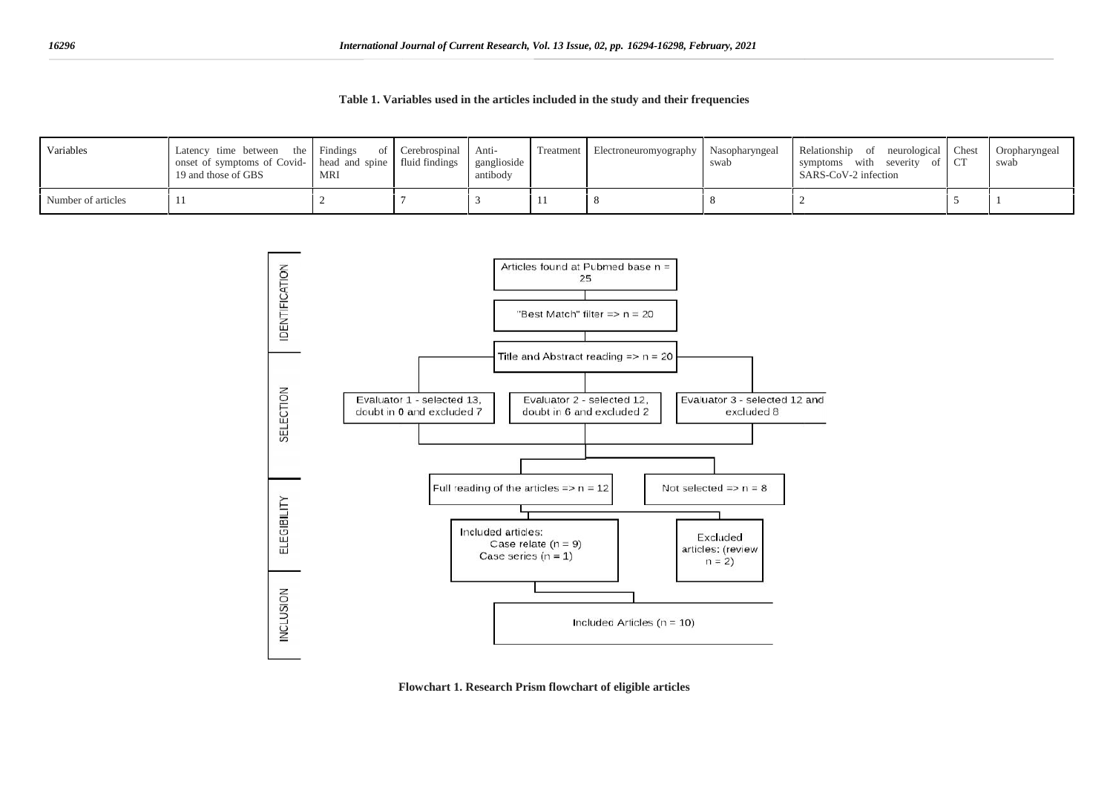**Table 1. Variables used in the articles included in the study and their frequencies**

| Variables          | Latency time between the Findings<br>onset of symptoms of Covid- head and spine fluid findings<br>19 and those of GBS | MRI | of Cerebrospinal Anti- | ganglioside<br>antibody |           | Treatment Electroneuromyography Nasopharyngeal | swab | Relationship of neurological Chest<br>symptoms with severity of CT<br>SARS-CoV-2 infection | Oropharyngeal<br>swab |
|--------------------|-----------------------------------------------------------------------------------------------------------------------|-----|------------------------|-------------------------|-----------|------------------------------------------------|------|--------------------------------------------------------------------------------------------|-----------------------|
| Number of articles | -11                                                                                                                   |     |                        |                         | <b>TT</b> |                                                |      |                                                                                            |                       |



**Flowchart 1. Research Prism flowchart of eligible articles**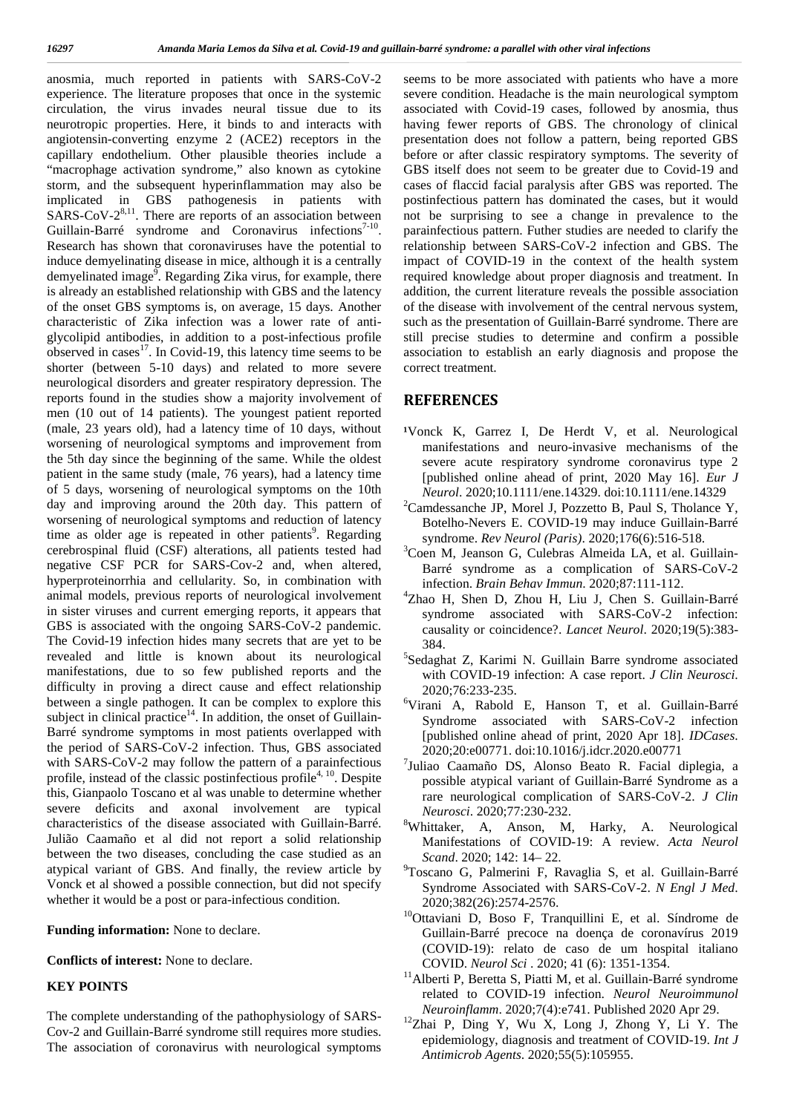anosmia, much reported in patients with SARS CoV 2 experience. The literature proposes that once in the systemic circulation, the virus invades neural tissue due to its neurotropic properties. Here, it binds to and interacts with angiotensin converting enzyme  $2$  (ACE2) receptors in the capillary endothelium. Other plausible theories include a "macrophage activation syndrome," also known as cytokine storm, and the subsequent hyperinflammation may also be implicated in GBS pathogenesis in patients with SARS CoV  $2^{8,11}$ . There are reports of an association between not Guillain-Barré syndrome and Coronavirus infections<sup>7-10</sup>. p Research has shown that coronaviruses have the potential to induce demyelinating disease in mice, although it is a centrally demyelinated image<sup>9</sup>. Regarding Zika virus, for example, there requ is already an established relationship with GBS and the latency of the onset GBS symptoms is, on average, 15 days. Another characteristic of Zika infection was a lower rate of anti glycolipid antibodies, in addition to a post-infectious profile observed in cases $^{17}$ . In Covid-19, this latency time seems to be shorter (between 5-10 days) and related to more severe neurological disorders and greater respiratory depression. The reports found in the studies show a majority involvement of men (10 out of 14 patients). The youngest patient reported (male, 23 years old), had a latency time of 10 days, without worsening of neurological symptoms and improvement from the 5th day since the beginning of the same. While the oldest patient in the same study (male, 76 years), had a latency time of 5 days, worsening of neurological symptoms on the 10th day and improving around the 20th day. This pattern of worsening of neurological symptoms and reduction of latency time as older age is repeated in other patients<sup>9</sup>. Regarding  $\overline{s}$ time as older age is repeated in other patients<sup>7</sup>. Regarding syndrome. *Rev Neurol (Paris)*. 2020;176(6):516-518. cerebrospinal fluid (CSF) alterations, all patients tested had  ${}^{3}$ Coen M Jeanson G Culebras Almeida LA negative CSF PCR for SARS-Cov-2 and, when altered, hyperproteinorrhia and cellularity. So, in combination with infection. Brain Behav Immun. 2020;87:111-112. animal models, previous reports of neurological involvement in sister viruses and current emerging reports, it appears that GBS is associated with the ongoing SARS CoV 2 pandemic. The Covid-19 infection hides many secrets that are yet to be  $\frac{1}{384}$ revealed and little is known about its neurological manifestations, due to so few published reports and the difficulty in proving a direct cause and effect relationship  $2020:76:233-235$ . between a single pathogen. It can be complex to explore this subject in clinical practice $14$ . In addition, the onset of Guillain-Barré syndrome symptoms in most patients overlapped with the period of SARS-CoV-2 infection. Thus, GBS associated with SARS-CoV-2 may follow the pattern of a parainfectious profile, instead of the classic postinfectious profile<sup>4, 10</sup>. Despite this, Gianpaolo Toscano et al was unable to determine whether severe deficits and axonal involvement are typical characteristics of the disease associated with Guillain-Barré. Julião Caamaño et al did not report a solid relationship between the two diseases, concluding the case studied as an Scand. 2020: 142: 14–22. atypical variant of GBS. And finally, the review article by Vonck et al showed a possible connection, but did not specify whether it would be a post or para-infectious condition.

**Funding information:** None to declare.

**Conflicts of interest:** None to declare.

#### **KEY POINTS**

The complete understanding of the pathophysiology of SARS- Cov-2 and Guillain-Barré syndrome still requires more studies. The association of coronavirus with neurological symptoms

seems to be more associated with patients who have a more severe condition. Headache is the main neurological symptom associated with Covid-19 cases, followed by anosmia, thus having fewer reports of GBS. The chronology of clinical presentation does not follow a pattern, being reported GBS before or after classic respiratory symptoms. The severity of GBS itself does not seem to be greater due to Covid-19 and cases of flaccid facial paralysis after GBS was reported. The postinfectious pattern has dominated the cases, but it would not be surprising to see a change in prevalence to the parainfectious pattern. Futher studies are needed to clarify the relationship between SARS-CoV-2 infection and GBS. The impact of COVID-19 in the context of the health system required knowledge about proper diagnosis and treatment. In addition, the current literature reveals the possible association of the disease with involvement of the central nervous system, such as the presentation of Guillain-Barré syndrome. There are still precise studies to determine and confirm a possible association to establish an early diagnosis and propose the correct treatment.

#### **REFERENCES**

- <sup>1</sup>Vonck K, Garrez I, De Herdt V, et al. Neurological manifestations and neuro-invasive mechanisms of the severe acute respiratory syndrome coronavirus type 2 [published online ahead of print, 2020 May 16]. *Eur J Neurol*. 2020;10.1111/ene.14329. doi:10.1111/ene.14329
- ${}^{2}$ Camdessanche JP, Morel J, Pozzetto B, Paul S, Tholance Y, Botelho-Nevers E. COVID-19 may induce Guillain-Barré
- <sup>3</sup>Coen M, Jeanson G, Culebras Almeida LA, et al. Guillain-Barré syndrome as a complication of SARS-CoV-2
- <sup>4</sup>Zhao H, Shen D, Zhou H, Liu J, Chen S. Guillain-Barré syndrome associated with SARS-CoV-2 infection: causality or coincidence?. *Lancet Neurol*. 2020;19(5):383-
- $5$ Sedaghat Z, Karimi N. Guillain Barre syndrome associated with COVID-19 infection: A case report. *J Clin Neurosci*.
- <sup>6</sup>Virani A, Rabold E, Hanson T, et al. Guillain-Barré Syndrome associated with SARS-CoV-2 infection [published online ahead of print, 2020 Apr 18]. *IDCases*. 2020;20:e00771. doi:10.1016/j.idcr.2020.e00771
- <sup>7</sup>Juliao Caamaño DS, Alonso Beato R. Facial diplegia, a possible atypical variant of Guillain-Barré Syndrome as a rare neurological complication of SARS-CoV-2. *J Clin Neurosci*. 2020;77:230-232. <sup>8</sup>Whittaker, A, Anson, M, Harky, A. Neurological
- Manifestations of COVID‐19: A review. *Acta Neurol*
- <sup>9</sup>Toscano G, Palmerini F, Ravaglia S, et al. Guillain-Barré Syndrome Associated with SARS-CoV-2. *N Engl J Med*.
- 2020;382(26):2574-2576.<br><sup>10</sup>Ottaviani D, Boso F, Tranquillini E, et al. Síndrome de Guillain-Barré precoce na doença de coronavírus 2019 (COVID-19): relato de caso de um hospital italiano
- COVID. *Neurol Sci* . 2020; 41 (6): 1351-1354. <sup>11</sup>Alberti P, Beretta S, Piatti M, et al. Guillain-Barré syndrome related to COVID-19 infection. *Neurol Neuroimmunol*
- *Neuroinflamm*. 2020;7(4):e741. Published 2020 Apr 29. <sup>12</sup>Zhai P, Ding Y, Wu X, Long J, Zhong Y, Li Y. The epidemiology, diagnosis and treatment of COVID-19. *Int J Antimicrob Agents*. 2020;55(5):105955.